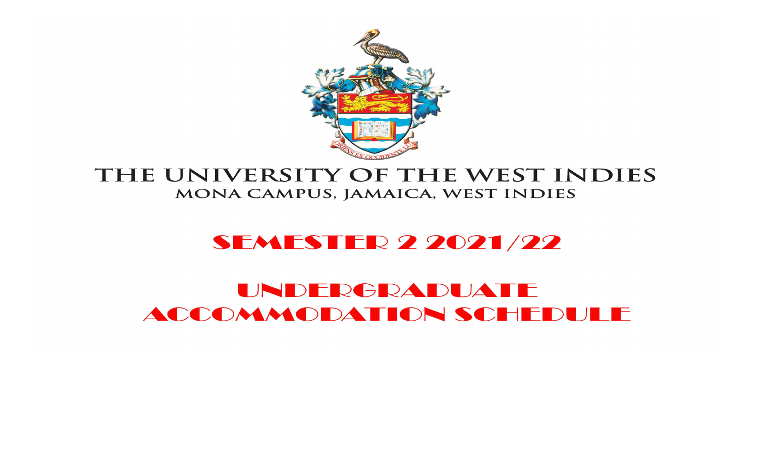

## THE UNIVERSITY OF THE WEST INDIES MONA CAMPUS, JAMAICA, WEST INDIES

# **SEMESTER 2 2021/22**

# UNDERGRADUATE ACCOMMODATION SCHEDULE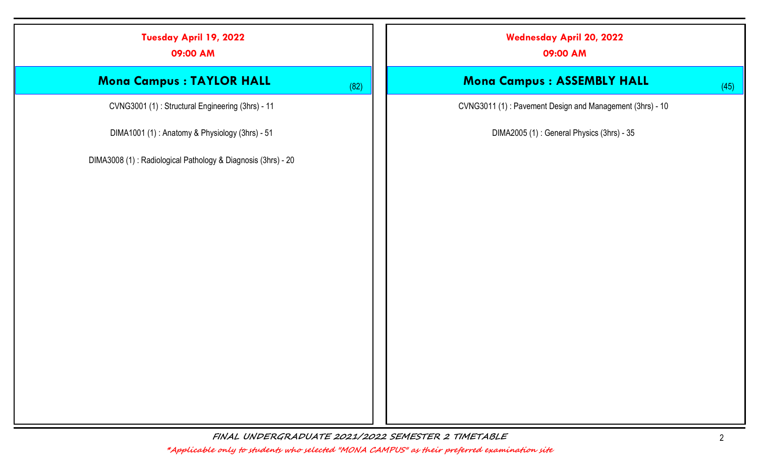|      | <b>Wednesday April 20, 2022</b><br>09:00 AM              |
|------|----------------------------------------------------------|
| (82) | Mona Campus : ASSEMBLY HALL<br>(45)                      |
|      | CVNG3011 (1): Pavement Design and Management (3hrs) - 10 |
|      | DIMA2005 (1): General Physics (3hrs) - 35                |
|      |                                                          |
|      |                                                          |
|      |                                                          |
|      |                                                          |
|      |                                                          |
|      |                                                          |
|      |                                                          |
|      |                                                          |
|      |                                                          |
|      |                                                          |
|      |                                                          |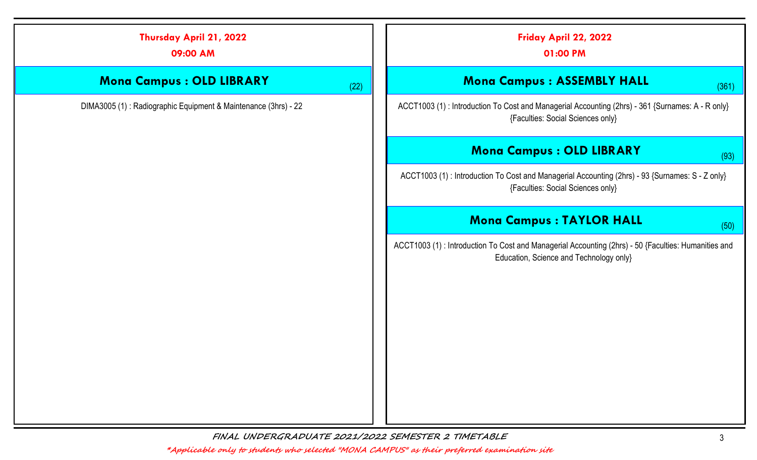|        |      | Thursday April 21, 2022<br>09:00 AM                             |
|--------|------|-----------------------------------------------------------------|
|        | (22) | Mona Campus : OLD LIBRARY                                       |
| ACCT1  |      | DIMA3005 (1) : Radiographic Equipment & Maintenance (3hrs) - 22 |
|        |      |                                                                 |
|        |      |                                                                 |
|        |      |                                                                 |
|        |      |                                                                 |
| ACCT10 |      |                                                                 |
|        |      |                                                                 |
|        |      |                                                                 |
|        |      |                                                                 |
|        |      |                                                                 |
|        |      |                                                                 |
|        |      |                                                                 |
|        |      |                                                                 |
|        |      |                                                                 |

| Friday April 22, 2022<br>01:00 PM                                                                                                               |
|-------------------------------------------------------------------------------------------------------------------------------------------------|
| <b>Mona Campus : ASSEMBLY HALL</b><br>(361)                                                                                                     |
| ACCT1003 (1): Introduction To Cost and Managerial Accounting (2hrs) - 361 {Surnames: A - R only}<br>{Faculties: Social Sciences only}           |
| <b>Mona Campus : OLD LIBRARY</b><br>(93)                                                                                                        |
| ACCT1003 (1): Introduction To Cost and Managerial Accounting (2hrs) - 93 {Surnames: S - Z only}<br>{Faculties: Social Sciences only}            |
| <b>Mona Campus: TAYLOR HALL</b><br>(50)                                                                                                         |
| ACCT1003 (1) : Introduction To Cost and Managerial Accounting (2hrs) - 50 {Faculties: Humanities and<br>Education, Science and Technology only} |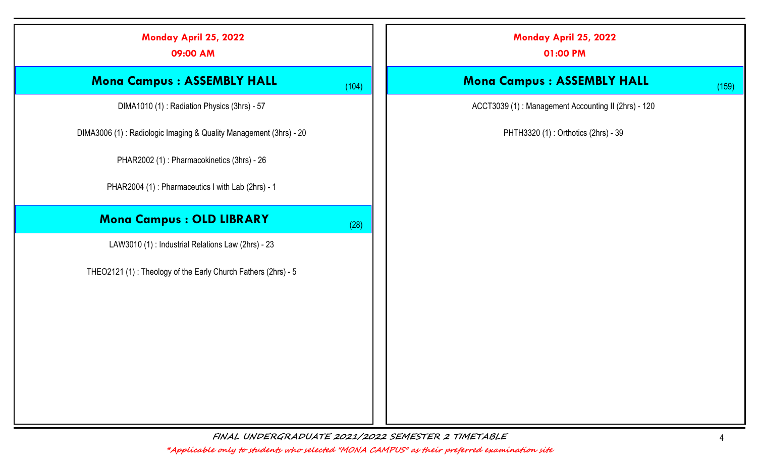| Monday April 25, 2022<br>09:00 AM                                 |       | Monday April 25, 2022<br>01:00 PM                   |
|-------------------------------------------------------------------|-------|-----------------------------------------------------|
| <b>Mona Campus : ASSEMBLY HALL</b>                                | (104) | <b>Mona Campus : ASSEMBLY HALL</b>                  |
| DIMA1010 (1): Radiation Physics (3hrs) - 57                       |       | ACCT3039 (1): Management Accounting II (2hrs) - 120 |
| DIMA3006 (1): Radiologic Imaging & Quality Management (3hrs) - 20 |       | PHTH3320 (1): Orthotics (2hrs) - 39                 |
| PHAR2002 (1): Pharmacokinetics (3hrs) - 26                        |       |                                                     |
| PHAR2004 (1): Pharmaceutics I with Lab (2hrs) - 1                 |       |                                                     |
| Mona Campus : OLD LIBRARY                                         | (28)  |                                                     |
| LAW3010 (1) : Industrial Relations Law (2hrs) - 23                |       |                                                     |
| THEO2121 (1): Theology of the Early Church Fathers (2hrs) - 5     |       |                                                     |
|                                                                   |       |                                                     |
|                                                                   |       |                                                     |
|                                                                   |       |                                                     |
|                                                                   |       |                                                     |
|                                                                   |       |                                                     |
|                                                                   |       |                                                     |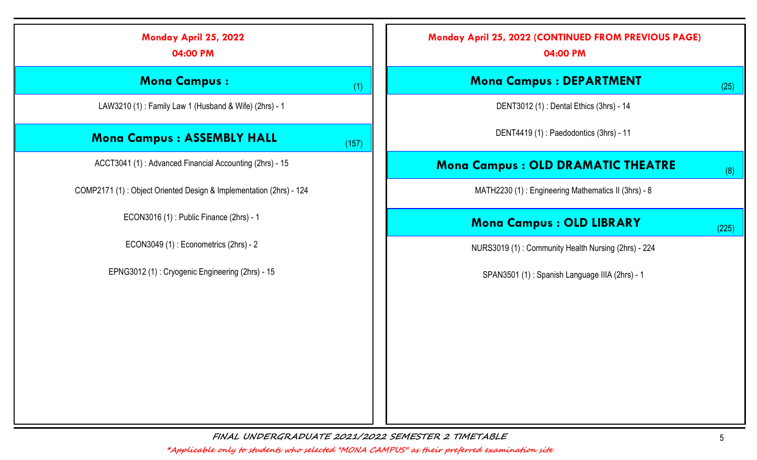| Monday April 25, 2022<br>04:00 PM                                  | Monday April 25, 2022 (CONTINUED FROM PREVIOUS PAGE)<br>04:00 PM |  |  |
|--------------------------------------------------------------------|------------------------------------------------------------------|--|--|
| <b>Mona Campus:</b>                                                | <b>Mona Campus : DEPARTMENT</b><br>(1)<br>(25)                   |  |  |
| LAW3210 (1): Family Law 1 (Husband & Wife) (2hrs) - 1              | DENT3012 (1): Dental Ethics (3hrs) - 14                          |  |  |
| <b>Mona Campus: ASSEMBLY HALL</b>                                  | DENT4419 (1): Paedodontics (3hrs) - 11<br>(157)                  |  |  |
| ACCT3041 (1): Advanced Financial Accounting (2hrs) - 15            | <b>Mona Campus: OLD DRAMATIC THEATRE</b><br>(8)                  |  |  |
| COMP2171 (1): Object Oriented Design & Implementation (2hrs) - 124 | MATH2230 (1): Engineering Mathematics II (3hrs) - 8              |  |  |
| ECON3016 (1): Public Finance (2hrs) - 1                            | <b>Mona Campus : OLD LIBRARY</b><br>(225)                        |  |  |
| ECON3049 (1): Econometrics (2hrs) - 2                              | NURS3019 (1): Community Health Nursing (2hrs) - 224              |  |  |
| EPNG3012 (1): Cryogenic Engineering (2hrs) - 15                    | SPAN3501 (1): Spanish Language IIIA (2hrs) - 1                   |  |  |
|                                                                    |                                                                  |  |  |
|                                                                    |                                                                  |  |  |
|                                                                    |                                                                  |  |  |
|                                                                    |                                                                  |  |  |
|                                                                    |                                                                  |  |  |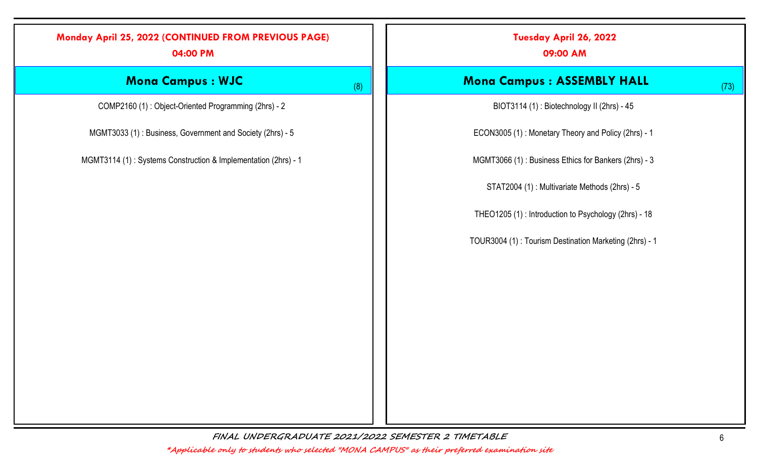### Monday April 25, 2022 (CONTINUED FROM PREVIOUS PAGE)

04:00 PM

## Mona Campus : WJC (8)

COMP2160 (1) : Object-Oriented Programming (2hrs) - 2

MGMT3033 (1) : Business, Government and Society (2hrs) - 5

MGMT3114 (1) : Systems Construction & Implementation (2hrs) - 1

Tuesday April 26, 2022

09:00 AM

#### Mona Campus : ASSEMBLY HALL (73)

BIOT3114 (1) : Biotechnology II (2hrs) - 45

ECON3005 (1) : Monetary Theory and Policy (2hrs) - 1

MGMT3066 (1) : Business Ethics for Bankers (2hrs) - 3

STAT2004 (1) : Multivariate Methods (2hrs) - 5

THEO1205 (1) : Introduction to Psychology (2hrs) - 18

TOUR3004 (1) : Tourism Destination Marketing (2hrs) - 1

FINAL UNDERGRADUATE 2021/2022 SEMESTER 2 TIMETABLE 6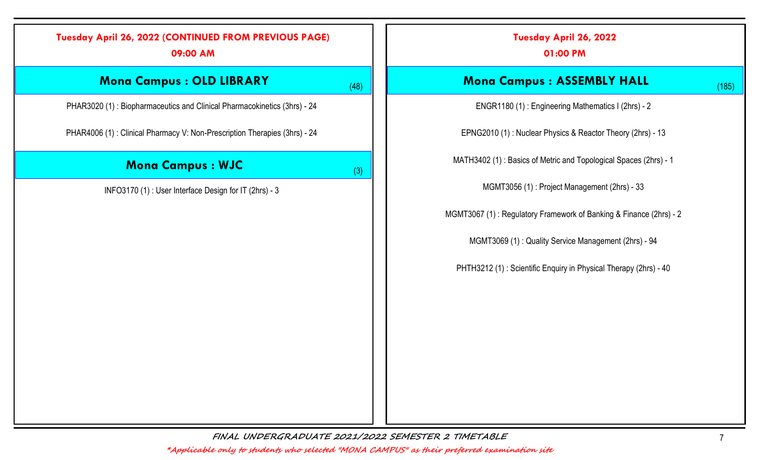# Tuesday April 26, 2022 (CONTINUED FROM PREVIOUS PAGE) 09:00 AM **Mona Campus : OLD LIBRARY** (48) PHAR3020 (1) : Biopharmaceutics and Clinical Pharmacokinetics (3hrs) - 24 PHAR4006 (1) : Clinical Pharmacy V: Non-Prescription Therapies (3hrs) - 24 **Mona Campus : WJC**  $(3)$ INFO3170 (1) : User Interface Design for IT (2hrs) - 3 Tuesday April 26, 2022 **Mona Campus : ASSEMBLY HALL** (185) ENGR1180 (1) : Engineering Mathematics I (2hrs) - 2 EPNG2010 (1) : Nuclear Physics & Reactor Theory (2hrs) - 13 MATH3402 (1) : Basics of Metric and Topological Spaces (2hrs) - 1 MGMT3056 (1) : Project Management (2hrs) - 33 MGMT3067 (1) : Regulatory Framework of Banking & Finance (2hrs) - 2 MGMT3069 (1) : Quality Service Management (2hrs) - 94 PHTH3212 (1) : Scientific Enquiry in Physical Therapy (2hrs) - 40

FINAL UNDERGRADUATE 2021/2022 SEMESTER 2 TIMETABLE 7

\*Applicable only to students who selected "MONA CAMPUS" as their preferred examination site

01:00 PM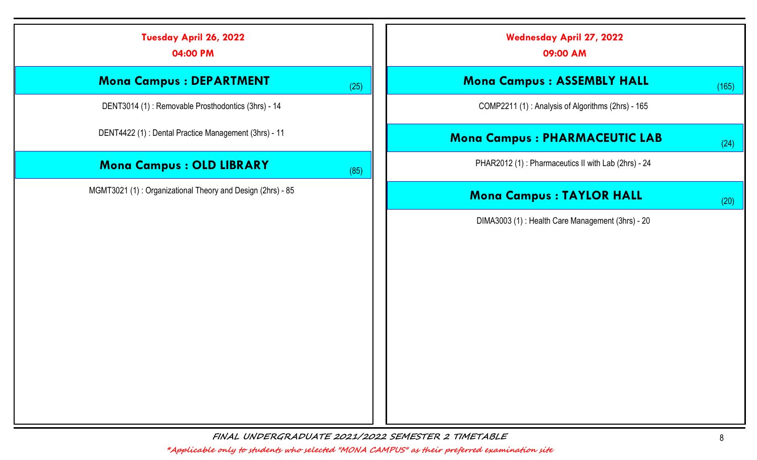| Tuesday April 26, 2022<br>04:00 PM                         |      | <b>Wednesday April 27, 2022</b><br>09:00 AM         |
|------------------------------------------------------------|------|-----------------------------------------------------|
| <b>Mona Campus : DEPARTMENT</b>                            | (25) | <b>Mona Campus: ASSEMBLY HALL</b><br>(165)          |
| DENT3014 (1): Removable Prosthodontics (3hrs) - 14         |      | COMP2211 (1): Analysis of Algorithms (2hrs) - 165   |
| DENT4422 (1) : Dental Practice Management (3hrs) - 11      |      | <b>Mona Campus: PHARMACEUTIC LAB</b><br>(24)        |
| <b>Mona Campus : OLD LIBRARY</b>                           | (85) | PHAR2012 (1): Pharmaceutics II with Lab (2hrs) - 24 |
| MGMT3021 (1): Organizational Theory and Design (2hrs) - 85 |      | <b>Mona Campus : TAYLOR HALL</b><br>(20)            |
|                                                            |      | DIMA3003 (1): Health Care Management (3hrs) - 20    |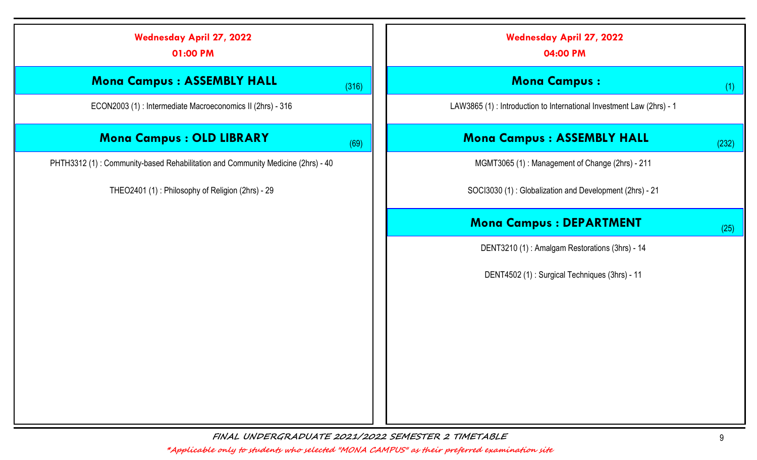| <b>Wednesday April 27, 2022</b><br>01:00 PM                                     | <b>Wednesday April 27, 2022</b><br>04:00 PM                           |
|---------------------------------------------------------------------------------|-----------------------------------------------------------------------|
| <b>Mona Campus: ASSEMBLY HALL</b><br>(316)                                      | <b>Mona Campus:</b><br>(1)                                            |
| ECON2003 (1) : Intermediate Macroeconomics II (2hrs) - 316                      | LAW3865 (1) : Introduction to International Investment Law (2hrs) - 1 |
| <b>Mona Campus : OLD LIBRARY</b><br>(69)                                        | <b>Mona Campus: ASSEMBLY HALL</b><br>(232)                            |
| PHTH3312 (1): Community-based Rehabilitation and Community Medicine (2hrs) - 40 | MGMT3065 (1): Management of Change (2hrs) - 211                       |
| THEO2401 (1): Philosophy of Religion (2hrs) - 29                                | SOCI3030 (1): Globalization and Development (2hrs) - 21               |
|                                                                                 | <b>Mona Campus : DEPARTMENT</b><br>(25)                               |
|                                                                                 | DENT3210 (1): Amalgam Restorations (3hrs) - 14                        |
|                                                                                 | DENT4502 (1): Surgical Techniques (3hrs) - 11                         |
|                                                                                 |                                                                       |
|                                                                                 |                                                                       |
|                                                                                 |                                                                       |
|                                                                                 |                                                                       |
|                                                                                 |                                                                       |
|                                                                                 |                                                                       |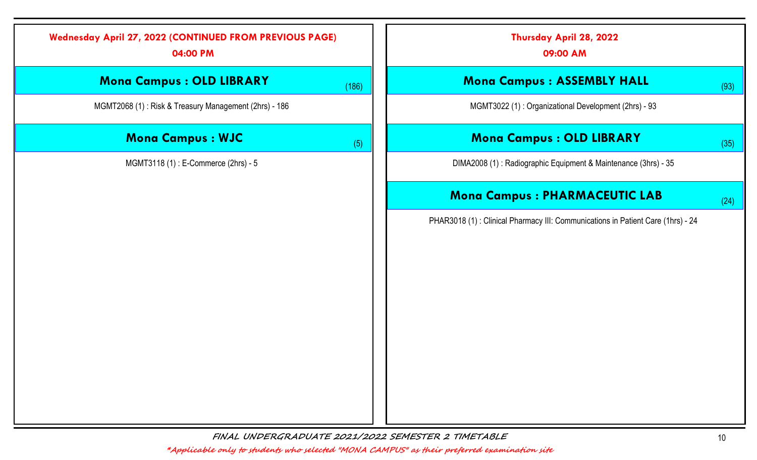| <b>Wednesday April 27, 2022 (CONTINUED FROM PREVIOUS PAGE)</b><br>04:00 PM |       | Thursday April 28, 2022<br>09:00 AM                                             |      |
|----------------------------------------------------------------------------|-------|---------------------------------------------------------------------------------|------|
| <b>Mona Campus : OLD LIBRARY</b>                                           | (186) | <b>Mona Campus: ASSEMBLY HALL</b>                                               | (93) |
| MGMT2068 (1): Risk & Treasury Management (2hrs) - 186                      |       | MGMT3022 (1): Organizational Development (2hrs) - 93                            |      |
| <b>Mona Campus : WJC</b>                                                   | (5)   | <b>Mona Campus : OLD LIBRARY</b>                                                | (35) |
| MGMT3118 (1) : E-Commerce (2hrs) - 5                                       |       | DIMA2008 (1): Radiographic Equipment & Maintenance (3hrs) - 35                  |      |
|                                                                            |       | <b>Mona Campus: PHARMACEUTIC LAB</b>                                            | (24) |
|                                                                            |       | PHAR3018 (1): Clinical Pharmacy III: Communications in Patient Care (1hrs) - 24 |      |
|                                                                            |       |                                                                                 |      |
|                                                                            |       |                                                                                 |      |
|                                                                            |       |                                                                                 |      |
|                                                                            |       |                                                                                 |      |
|                                                                            |       |                                                                                 |      |
|                                                                            |       |                                                                                 |      |
|                                                                            |       |                                                                                 |      |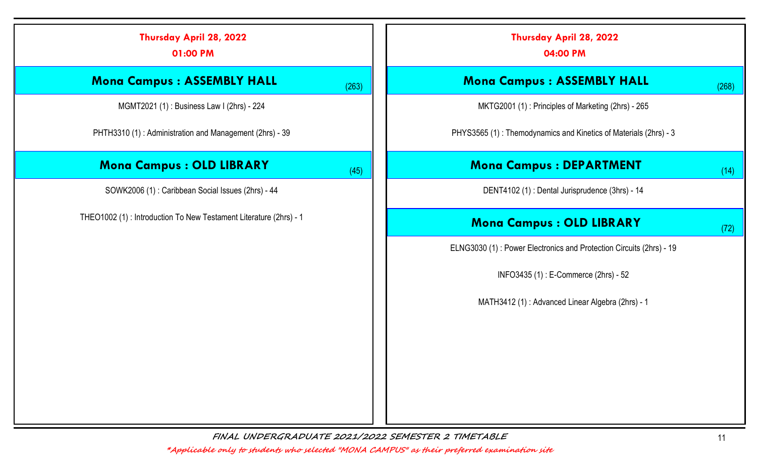| Thursday April 28, 2022<br>01:00 PM                                |       | Thursday April 28, 2022<br>04:00 PM                                 |
|--------------------------------------------------------------------|-------|---------------------------------------------------------------------|
| <b>Mona Campus: ASSEMBLY HALL</b>                                  | (263) | <b>Mona Campus: ASSEMBLY HALL</b><br>(268)                          |
| MGMT2021 (1): Business Law I (2hrs) - 224                          |       | MKTG2001 (1): Principles of Marketing (2hrs) - 265                  |
| PHTH3310 (1): Administration and Management (2hrs) - 39            |       | PHYS3565 (1): Themodynamics and Kinetics of Materials (2hrs) - 3    |
| <b>Mona Campus : OLD LIBRARY</b>                                   | (45)  | <b>Mona Campus : DEPARTMENT</b><br>(14)                             |
| SOWK2006 (1): Caribbean Social Issues (2hrs) - 44                  |       | DENT4102 (1): Dental Jurisprudence (3hrs) - 14                      |
| THEO1002 (1) : Introduction To New Testament Literature (2hrs) - 1 |       | <b>Mona Campus : OLD LIBRARY</b><br>(72)                            |
|                                                                    |       | ELNG3030 (1): Power Electronics and Protection Circuits (2hrs) - 19 |
|                                                                    |       | INFO3435 (1): E-Commerce (2hrs) - 52                                |
|                                                                    |       | MATH3412 (1): Advanced Linear Algebra (2hrs) - 1                    |
|                                                                    |       |                                                                     |
|                                                                    |       |                                                                     |
|                                                                    |       |                                                                     |
|                                                                    |       |                                                                     |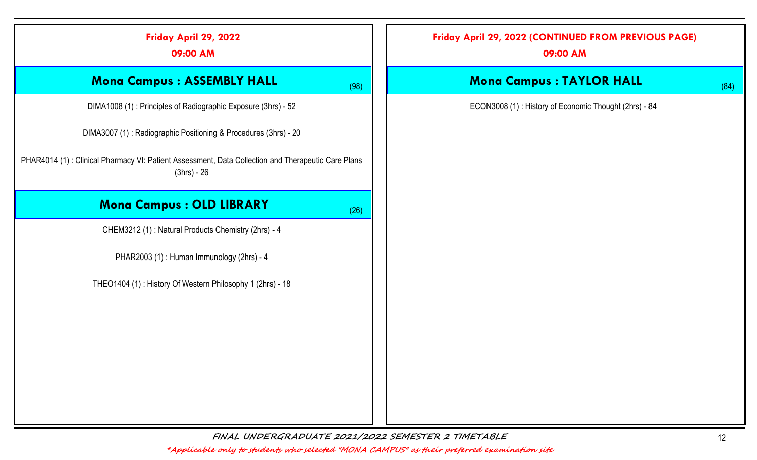| Friday April 29, 2022<br>09:00 AM                                                                                 |      | Friday April 29, 2022 (CONTINUED FROM PREVIOUS PAGE)<br>09:00 AM |
|-------------------------------------------------------------------------------------------------------------------|------|------------------------------------------------------------------|
| <b>Mona Campus : ASSEMBLY HALL</b>                                                                                | (98) | <b>Mona Campus : TAYLOR HALL</b>                                 |
| DIMA1008 (1): Principles of Radiographic Exposure (3hrs) - 52                                                     |      | ECON3008 (1): History of Economic Thought (2hrs) - 84            |
| DIMA3007 (1): Radiographic Positioning & Procedures (3hrs) - 20                                                   |      |                                                                  |
| PHAR4014 (1): Clinical Pharmacy VI: Patient Assessment, Data Collection and Therapeutic Care Plans<br>(3hrs) - 26 |      |                                                                  |
| <b>Mona Campus : OLD LIBRARY</b>                                                                                  | (26) |                                                                  |
| CHEM3212 (1): Natural Products Chemistry (2hrs) - 4                                                               |      |                                                                  |
| PHAR2003 (1): Human Immunology (2hrs) - 4                                                                         |      |                                                                  |
| THEO1404 (1): History Of Western Philosophy 1 (2hrs) - 18                                                         |      |                                                                  |
|                                                                                                                   |      |                                                                  |
|                                                                                                                   |      |                                                                  |
|                                                                                                                   |      |                                                                  |
|                                                                                                                   |      |                                                                  |
|                                                                                                                   |      |                                                                  |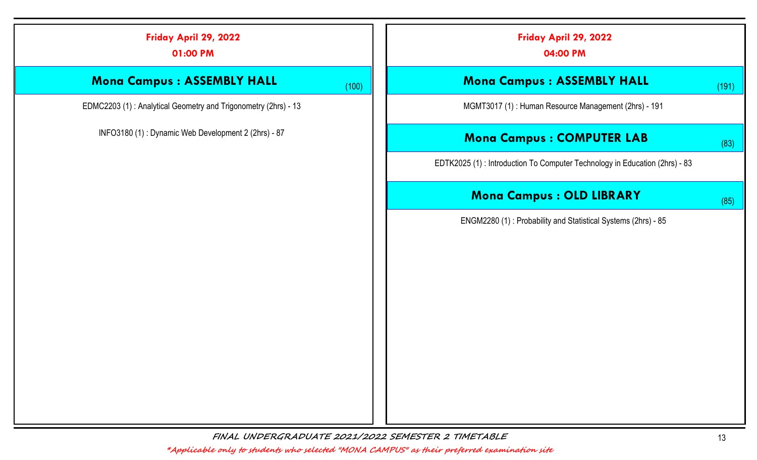| Friday April 29, 2022<br>01:00 PM                              |       | Friday April 29, 2022<br>04:00 PM                                           |       |  |
|----------------------------------------------------------------|-------|-----------------------------------------------------------------------------|-------|--|
| <b>Mona Campus: ASSEMBLY HALL</b>                              | (100) | <b>Mona Campus: ASSEMBLY HALL</b>                                           | (191) |  |
| EDMC2203 (1): Analytical Geometry and Trigonometry (2hrs) - 13 |       | MGMT3017 (1): Human Resource Management (2hrs) - 191                        |       |  |
| INFO3180 (1): Dynamic Web Development 2 (2hrs) - 87            |       | <b>Mona Campus: COMPUTER LAB</b>                                            | (83)  |  |
|                                                                |       | EDTK2025 (1) : Introduction To Computer Technology in Education (2hrs) - 83 |       |  |
|                                                                |       | <b>Mona Campus : OLD LIBRARY</b>                                            | (85)  |  |
|                                                                |       | ENGM2280 (1): Probability and Statistical Systems (2hrs) - 85               |       |  |
|                                                                |       |                                                                             |       |  |
|                                                                |       |                                                                             |       |  |
|                                                                |       |                                                                             |       |  |
|                                                                |       |                                                                             |       |  |
|                                                                |       |                                                                             |       |  |
|                                                                |       |                                                                             |       |  |
|                                                                |       |                                                                             |       |  |
|                                                                |       |                                                                             |       |  |
|                                                                |       |                                                                             |       |  |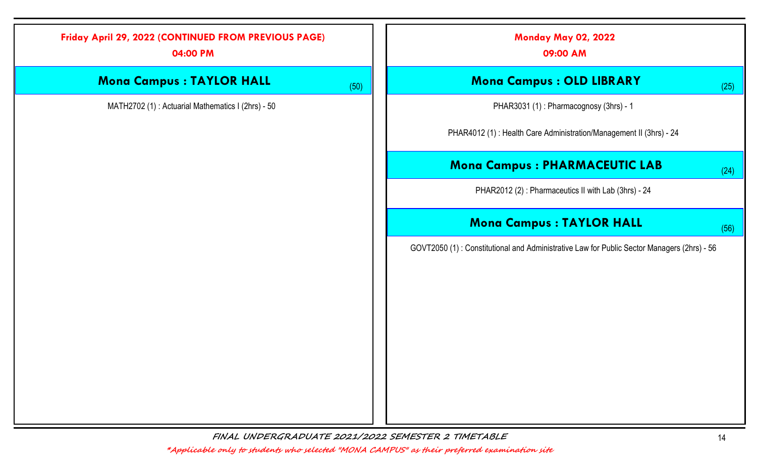|                                 |      | Friday April 29, 2022 (CONTINUED FROM PREVIOUS PAGE)<br>04:00 PM |  |
|---------------------------------|------|------------------------------------------------------------------|--|
| <b>Mona C</b>                   | (50) | <b>Mona Campus : TAYLOR HALL</b>                                 |  |
| PHAR:                           |      | MATH2702 (1): Actuarial Mathematics I (2hrs) - 50                |  |
| PHAR4012 (1) : Hea              |      |                                                                  |  |
| <b>Mona Camp</b>                |      |                                                                  |  |
| <b>PHAR2012</b>                 |      |                                                                  |  |
| <b>Mona Co</b>                  |      |                                                                  |  |
| GOVT2050 (1) : Constitutional a |      |                                                                  |  |

Monday May 02, 2022

09:00 AM

#### $\mathbf{R}$  ampus : OLD LIBRARY (25)

3031 (1) : Pharmacognosy (3hrs) - 1

alth Care Administration/Management II (3hrs) - 24

#### $\mathsf{pus}: \mathsf{PHARMACEUTIC}\ \mathsf{LAB} \hspace{2in} \left( \begin{smallmatrix} 24 \end{smallmatrix} \right)$

 $(2)$ : Pharmaceutics II with Lab (3hrs) - 24

#### ampus : TAYLOR HALL  $(56)$

and Administrative Law for Public Sector Managers (2hrs) - 56

FINAL UNDERGRADUATE 2021/2022 SEMESTER 2 TIMETABLE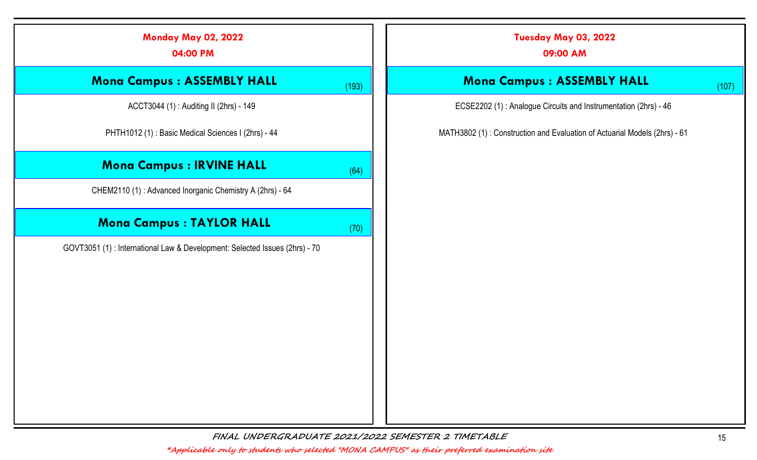| <b>Monday May 02, 2022</b><br>04:00 PM                                      |       | Tuesday May 03, 2022<br>09:00 AM                                          |
|-----------------------------------------------------------------------------|-------|---------------------------------------------------------------------------|
| <b>Mona Campus: ASSEMBLY HALL</b>                                           | (193) | <b>Mona Campus : ASSEMBLY HALL</b>                                        |
| ACCT3044 (1): Auditing II (2hrs) - 149                                      |       | ECSE2202 (1): Analogue Circuits and Instrumentation (2hrs) - 46           |
| PHTH1012 (1): Basic Medical Sciences I (2hrs) - 44                          |       | MATH3802 (1): Construction and Evaluation of Actuarial Models (2hrs) - 61 |
| <b>Mona Campus : IRVINE HALL</b>                                            | (64)  |                                                                           |
| CHEM2110 (1): Advanced Inorganic Chemistry A (2hrs) - 64                    |       |                                                                           |
| <b>Mona Campus : TAYLOR HALL</b>                                            | (70)  |                                                                           |
| GOVT3051 (1) : International Law & Development: Selected Issues (2hrs) - 70 |       |                                                                           |
|                                                                             |       |                                                                           |
|                                                                             |       |                                                                           |
|                                                                             |       |                                                                           |
|                                                                             |       |                                                                           |
|                                                                             |       |                                                                           |
|                                                                             |       |                                                                           |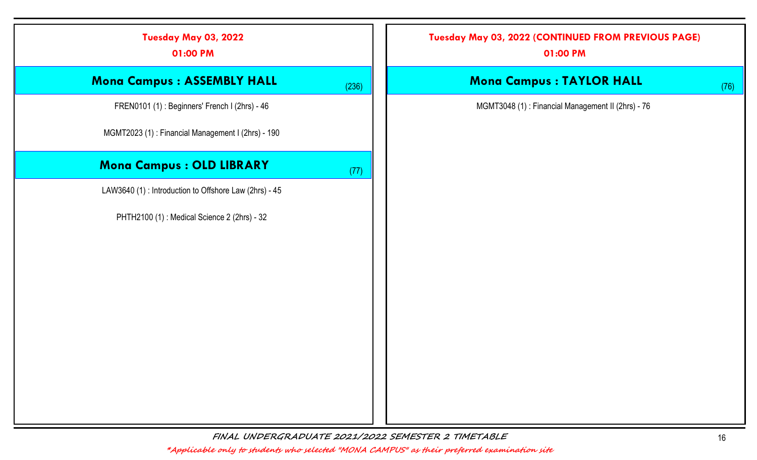| Tuesday May 03, 2022<br>01:00 PM                       |       | Tuesday May 03, 2022 (CONTINUED FROM PREVIOUS PAGE)<br>01:00 PM |      |
|--------------------------------------------------------|-------|-----------------------------------------------------------------|------|
| Mona Campus : ASSEMBLY HALL                            | (236) | <b>Mona Campus : TAYLOR HALL</b>                                | (76) |
| FREN0101 (1): Beginners' French I (2hrs) - 46          |       | MGMT3048 (1): Financial Management II (2hrs) - 76               |      |
| MGMT2023 (1): Financial Management I (2hrs) - 190      |       |                                                                 |      |
| Mona Campus : OLD LIBRARY                              | (77)  |                                                                 |      |
| LAW3640 (1) : Introduction to Offshore Law (2hrs) - 45 |       |                                                                 |      |
| PHTH2100 (1) : Medical Science 2 (2hrs) - 32           |       |                                                                 |      |
|                                                        |       |                                                                 |      |
|                                                        |       |                                                                 |      |
|                                                        |       |                                                                 |      |
|                                                        |       |                                                                 |      |
|                                                        |       |                                                                 |      |
|                                                        |       |                                                                 |      |
|                                                        |       |                                                                 |      |
|                                                        |       |                                                                 |      |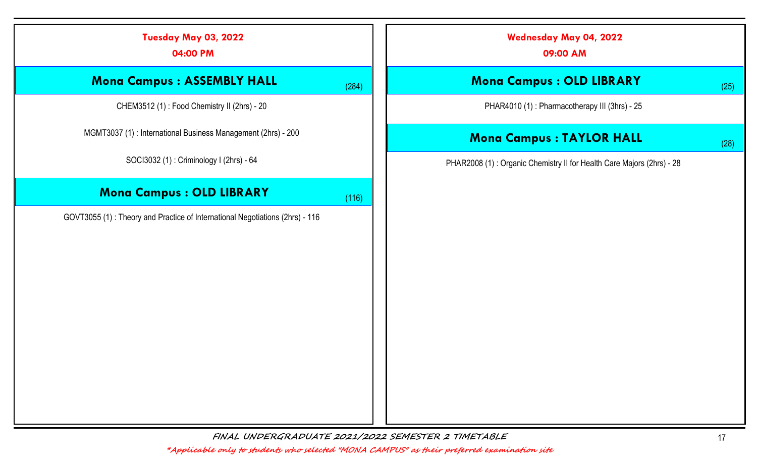|      | <b>Wednesday May 04, 2022</b><br>09:00 AM                             |       | Tuesday May 03, 2022<br>04:00 PM                                             |
|------|-----------------------------------------------------------------------|-------|------------------------------------------------------------------------------|
| (25) | <b>Mona Campus : OLD LIBRARY</b>                                      | (284) | <b>Mona Campus: ASSEMBLY HALL</b>                                            |
|      | PHAR4010 (1): Pharmacotherapy III (3hrs) - 25                         |       | CHEM3512 (1): Food Chemistry II (2hrs) - 20                                  |
| (28) | <b>Mona Campus : TAYLOR HALL</b>                                      |       | MGMT3037 (1): International Business Management (2hrs) - 200                 |
|      | PHAR2008 (1): Organic Chemistry II for Health Care Majors (2hrs) - 28 |       | SOCI3032 (1): Criminology I (2hrs) - 64                                      |
|      |                                                                       | (116) | <b>Mona Campus : OLD LIBRARY</b>                                             |
|      |                                                                       |       | GOVT3055 (1): Theory and Practice of International Negotiations (2hrs) - 116 |
|      |                                                                       |       |                                                                              |
|      |                                                                       |       |                                                                              |
|      |                                                                       |       |                                                                              |
|      |                                                                       |       |                                                                              |
|      |                                                                       |       |                                                                              |
|      |                                                                       |       |                                                                              |
|      |                                                                       |       |                                                                              |
|      |                                                                       |       |                                                                              |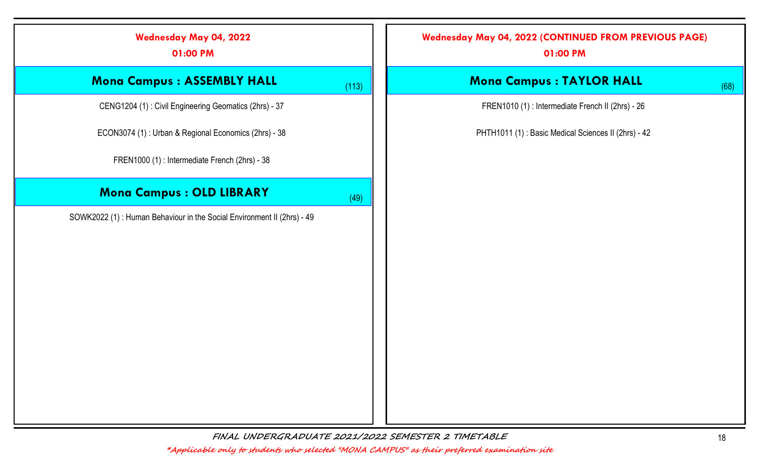| <b>Wednesday May 04, 2022</b><br>01:00 PM                              |       | <b>Wednesday May 04, 2022 (CONTINUED FROM PREVIOUS PAGE)</b><br>01:00 PM |
|------------------------------------------------------------------------|-------|--------------------------------------------------------------------------|
| <b>Mona Campus : ASSEMBLY HALL</b>                                     | (113) | <b>Mona Campus : TAYLOR HALL</b>                                         |
| CENG1204 (1): Civil Engineering Geomatics (2hrs) - 37                  |       | FREN1010 (1) : Intermediate French II (2hrs) - 26                        |
| ECON3074 (1): Urban & Regional Economics (2hrs) - 38                   |       | PHTH1011 (1): Basic Medical Sciences II (2hrs) - 42                      |
| FREN1000 (1) : Intermediate French (2hrs) - 38                         |       |                                                                          |
| Mona Campus : OLD LIBRARY                                              | (49)  |                                                                          |
| SOWK2022 (1): Human Behaviour in the Social Environment II (2hrs) - 49 |       |                                                                          |
|                                                                        |       |                                                                          |
|                                                                        |       |                                                                          |
|                                                                        |       |                                                                          |
|                                                                        |       |                                                                          |
|                                                                        |       |                                                                          |
|                                                                        |       |                                                                          |
|                                                                        |       |                                                                          |
|                                                                        |       |                                                                          |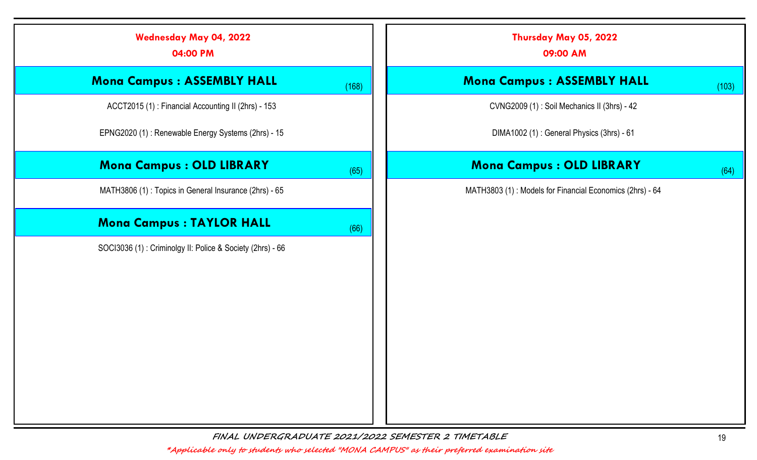| <b>Wednesday May 04, 2022</b><br>04:00 PM                 |       | Thursday May 05, 2022<br>09:00 AM                        |  |
|-----------------------------------------------------------|-------|----------------------------------------------------------|--|
| <b>Mona Campus: ASSEMBLY HALL</b>                         | (168) | <b>Mona Campus: ASSEMBLY HALL</b>                        |  |
| ACCT2015 (1): Financial Accounting II (2hrs) - 153        |       | CVNG2009 (1): Soil Mechanics II (3hrs) - 42              |  |
| EPNG2020 (1): Renewable Energy Systems (2hrs) - 15        |       | DIMA1002 (1): General Physics (3hrs) - 61                |  |
| <b>Mona Campus : OLD LIBRARY</b>                          | (65)  | <b>Mona Campus : OLD LIBRARY</b>                         |  |
| MATH3806 (1): Topics in General Insurance (2hrs) - 65     |       | MATH3803 (1): Models for Financial Economics (2hrs) - 64 |  |
| Mona Campus : TAYLOR HALL                                 | (66)  |                                                          |  |
| SOCI3036 (1): Criminolgy II: Police & Society (2hrs) - 66 |       |                                                          |  |
|                                                           |       |                                                          |  |
|                                                           |       |                                                          |  |
|                                                           |       |                                                          |  |
|                                                           |       |                                                          |  |
|                                                           |       |                                                          |  |
|                                                           |       |                                                          |  |
|                                                           |       |                                                          |  |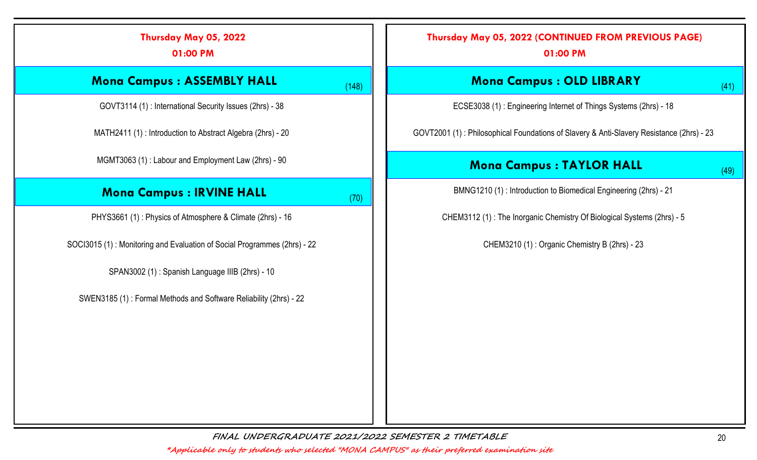| Thursday May 05, 2022<br>01:00 PM                                        |
|--------------------------------------------------------------------------|
| <b>Mona Campus: ASSEMBLY HALL</b><br>(148)                               |
| GOVT3114 (1): International Security Issues (2hrs) - 38                  |
| MATH2411 (1): Introduction to Abstract Algebra (2hrs) - 20               |
| MGMT3063 (1): Labour and Employment Law (2hrs) - 90                      |
| <b>Mona Campus : IRVINE HALL</b><br>(70)                                 |
| PHYS3661 (1): Physics of Atmosphere & Climate (2hrs) - 16                |
| SOCI3015 (1): Monitoring and Evaluation of Social Programmes (2hrs) - 22 |
| SPAN3002 (1): Spanish Language IIIB (2hrs) - 10                          |
| SWEN3185 (1): Formal Methods and Software Reliability (2hrs) - 22        |
|                                                                          |
|                                                                          |
|                                                                          |
|                                                                          |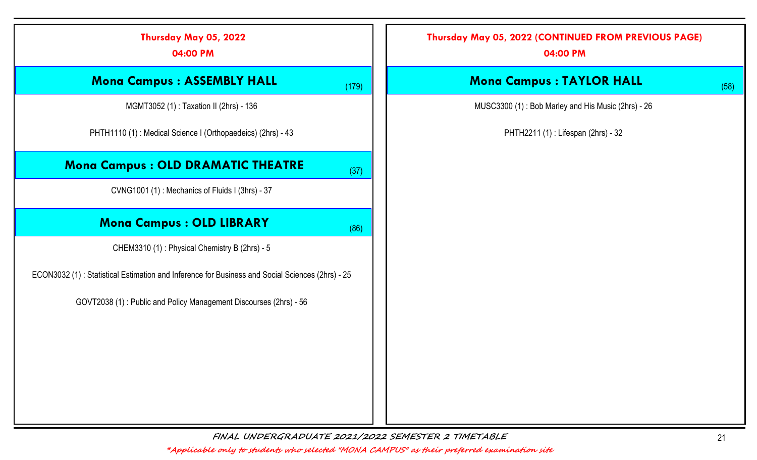| Thursday May 05, 2022<br>04:00 PM                                                               |       | Thursday May 05, 2022 (CONTINUED FROM PREVIOUS PAGE)<br>04:00 PM |
|-------------------------------------------------------------------------------------------------|-------|------------------------------------------------------------------|
| <b>Mona Campus: ASSEMBLY HALL</b>                                                               | (179) | <b>Mona Campus : TAYLOR HALL</b><br>(58)                         |
| MGMT3052 (1): Taxation II (2hrs) - 136                                                          |       | MUSC3300 (1): Bob Marley and His Music (2hrs) - 26               |
| PHTH1110 (1): Medical Science I (Orthopaedeics) (2hrs) - 43                                     |       | PHTH2211 (1): Lifespan (2hrs) - 32                               |
| <b>Mona Campus: OLD DRAMATIC THEATRE</b>                                                        | (37)  |                                                                  |
| CVNG1001 (1): Mechanics of Fluids I (3hrs) - 37                                                 |       |                                                                  |
| <b>Mona Campus : OLD LIBRARY</b>                                                                | (86)  |                                                                  |
| CHEM3310 (1): Physical Chemistry B (2hrs) - 5                                                   |       |                                                                  |
| ECON3032 (1): Statistical Estimation and Inference for Business and Social Sciences (2hrs) - 25 |       |                                                                  |
| GOVT2038 (1): Public and Policy Management Discourses (2hrs) - 56                               |       |                                                                  |
|                                                                                                 |       |                                                                  |
|                                                                                                 |       |                                                                  |
|                                                                                                 |       |                                                                  |
|                                                                                                 |       |                                                                  |
|                                                                                                 |       |                                                                  |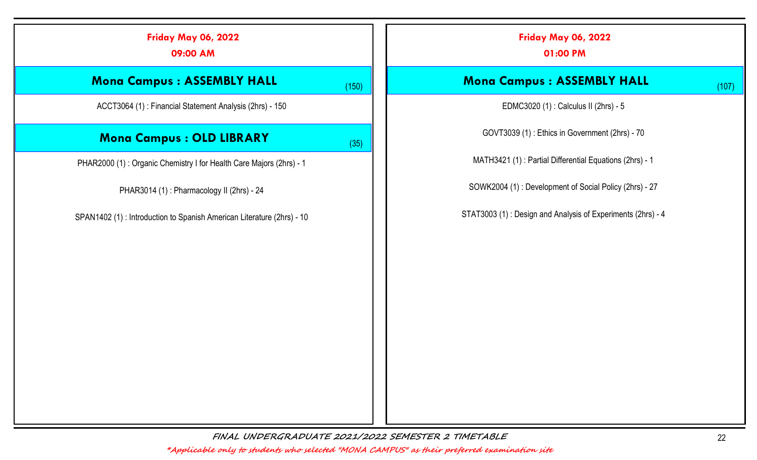| <b>Friday May 06, 2022</b><br>09:00 AM                                 |       | <b>Friday May 06, 2022</b><br>01:00 PM                      |
|------------------------------------------------------------------------|-------|-------------------------------------------------------------|
| <b>Mona Campus: ASSEMBLY HALL</b>                                      | (150) | <b>Mona Campus: ASSEMBLY HALL</b><br>(107)                  |
| ACCT3064 (1): Financial Statement Analysis (2hrs) - 150                |       | EDMC3020 (1): Calculus II (2hrs) - 5                        |
| <b>Mona Campus : OLD LIBRARY</b>                                       | (35)  | GOVT3039 (1): Ethics in Government (2hrs) - 70              |
| PHAR2000 (1): Organic Chemistry I for Health Care Majors (2hrs) - 1    |       | MATH3421 (1) : Partial Differential Equations (2hrs) - 1    |
| PHAR3014 (1): Pharmacology II (2hrs) - 24                              |       | SOWK2004 (1): Development of Social Policy (2hrs) - 27      |
| SPAN1402 (1) : Introduction to Spanish American Literature (2hrs) - 10 |       | STAT3003 (1): Design and Analysis of Experiments (2hrs) - 4 |
|                                                                        |       |                                                             |
|                                                                        |       |                                                             |
|                                                                        |       |                                                             |
|                                                                        |       |                                                             |
|                                                                        |       |                                                             |
|                                                                        |       |                                                             |
|                                                                        |       |                                                             |
|                                                                        |       |                                                             |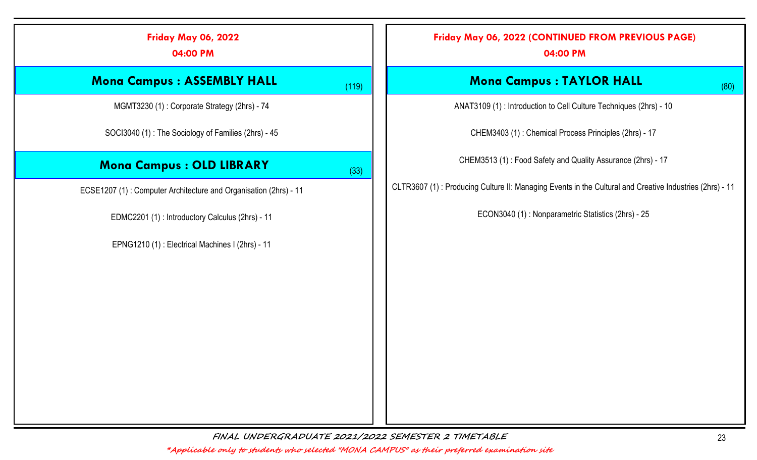| <b>Friday May 06, 2022</b><br>04:00 PM                           |       | Friday May 06, 2022 (CONTINUED FROM PREVIOUS PAGE)<br>04:00 PM                                          |
|------------------------------------------------------------------|-------|---------------------------------------------------------------------------------------------------------|
| <b>Mona Campus: ASSEMBLY HALL</b>                                | (119) | <b>Mona Campus : TAYLOR HALL</b><br>(80)                                                                |
| MGMT3230 (1): Corporate Strategy (2hrs) - 74                     |       | ANAT3109 (1) : Introduction to Cell Culture Techniques (2hrs) - 10                                      |
| SOCI3040 (1): The Sociology of Families (2hrs) - 45              |       | CHEM3403 (1): Chemical Process Principles (2hrs) - 17                                                   |
| <b>Mona Campus : OLD LIBRARY</b>                                 | (33)  | CHEM3513 (1): Food Safety and Quality Assurance (2hrs) - 17                                             |
| ECSE1207 (1): Computer Architecture and Organisation (2hrs) - 11 |       | CLTR3607 (1): Producing Culture II: Managing Events in the Cultural and Creative Industries (2hrs) - 11 |
| EDMC2201 (1): Introductory Calculus (2hrs) - 11                  |       | ECON3040 (1): Nonparametric Statistics (2hrs) - 25                                                      |
| EPNG1210 (1): Electrical Machines I (2hrs) - 11                  |       |                                                                                                         |
|                                                                  |       |                                                                                                         |
|                                                                  |       |                                                                                                         |
|                                                                  |       |                                                                                                         |
|                                                                  |       |                                                                                                         |
|                                                                  |       |                                                                                                         |
|                                                                  |       |                                                                                                         |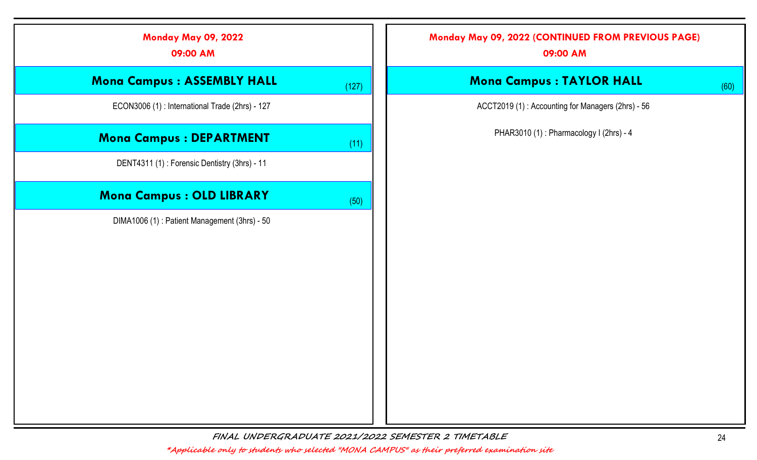| <b>Monday May 09, 2022</b><br>09:00 AM         |       | Monday May 09, 2022 (CONTINUED FROM PREVIOUS PAGE)<br>09:00 AM |      |
|------------------------------------------------|-------|----------------------------------------------------------------|------|
| <b>Mona Campus : ASSEMBLY HALL</b>             | (127) | <b>Mona Campus : TAYLOR HALL</b>                               | (60) |
| ECON3006 (1): International Trade (2hrs) - 127 |       | ACCT2019 (1): Accounting for Managers (2hrs) - 56              |      |
| <b>Mona Campus : DEPARTMENT</b>                | (11)  | PHAR3010 (1): Pharmacology I (2hrs) - 4                        |      |
| DENT4311 (1): Forensic Dentistry (3hrs) - 11   |       |                                                                |      |
| Mona Campus : OLD LIBRARY                      | (50)  |                                                                |      |
| DIMA1006 (1): Patient Management (3hrs) - 50   |       |                                                                |      |
|                                                |       |                                                                |      |
|                                                |       |                                                                |      |
|                                                |       |                                                                |      |
|                                                |       |                                                                |      |
|                                                |       |                                                                |      |
|                                                |       |                                                                |      |
|                                                |       |                                                                |      |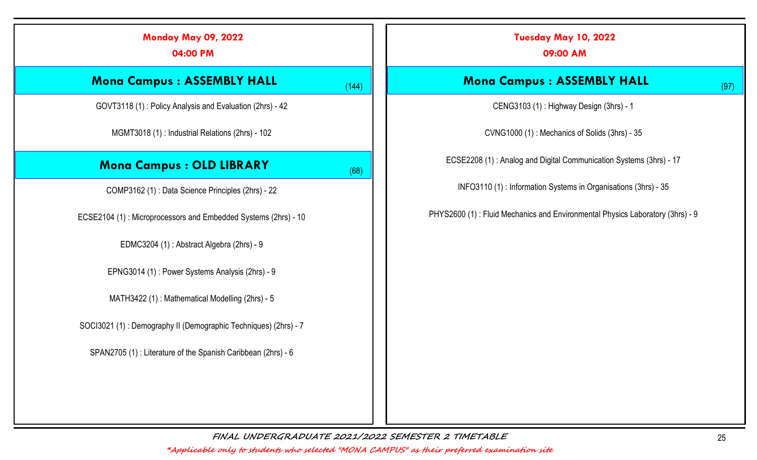| <b>Monday May 09, 2022</b><br>04:00 PM                          |       | Tuesday May 10, 2022<br>09:00 AM                                              |
|-----------------------------------------------------------------|-------|-------------------------------------------------------------------------------|
| <b>Mona Campus: ASSEMBLY HALL</b>                               | (144) | <b>Mona Campus: ASSEMBLY HALL</b><br>(97)                                     |
| GOVT3118 (1): Policy Analysis and Evaluation (2hrs) - 42        |       | CENG3103 (1): Highway Design (3hrs) - 1                                       |
| MGMT3018 (1) : Industrial Relations (2hrs) - 102                |       | CVNG1000 (1): Mechanics of Solids (3hrs) - 35                                 |
| <b>Mona Campus : OLD LIBRARY</b>                                | (68)  | ECSE2208 (1): Analog and Digital Communication Systems (3hrs) - 17            |
| COMP3162 (1): Data Science Principles (2hrs) - 22               |       | INFO3110 (1): Information Systems in Organisations (3hrs) - 35                |
| ECSE2104 (1): Microprocessors and Embedded Systems (2hrs) - 10  |       | PHYS2600 (1): Fluid Mechanics and Environmental Physics Laboratory (3hrs) - 9 |
| EDMC3204 (1): Abstract Algebra (2hrs) - 9                       |       |                                                                               |
| EPNG3014 (1): Power Systems Analysis (2hrs) - 9                 |       |                                                                               |
| MATH3422 (1): Mathematical Modelling (2hrs) - 5                 |       |                                                                               |
| SOCI3021 (1): Demography II (Demographic Techniques) (2hrs) - 7 |       |                                                                               |
| SPAN2705 (1): Literature of the Spanish Caribbean (2hrs) - 6    |       |                                                                               |
|                                                                 |       |                                                                               |
|                                                                 |       |                                                                               |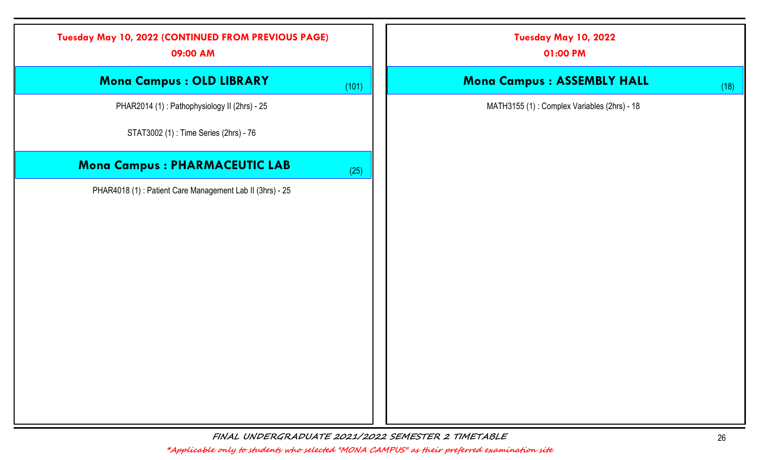| Tuesday May 10, 2022 (CONTINUED FROM PREVIOUS PAGE)<br>09:00 AM |       | Tuesday May 10, 2022<br>01:00 PM            |      |
|-----------------------------------------------------------------|-------|---------------------------------------------|------|
| Mona Campus : OLD LIBRARY                                       | (101) | Mona Campus : ASSEMBLY HALL                 | (18) |
| PHAR2014 (1): Pathophysiology II (2hrs) - 25                    |       | MATH3155 (1): Complex Variables (2hrs) - 18 |      |
| STAT3002 (1): Time Series (2hrs) - 76                           |       |                                             |      |
| <b>Mona Campus: PHARMACEUTIC LAB</b>                            | (25)  |                                             |      |
| PHAR4018 (1): Patient Care Management Lab II (3hrs) - 25        |       |                                             |      |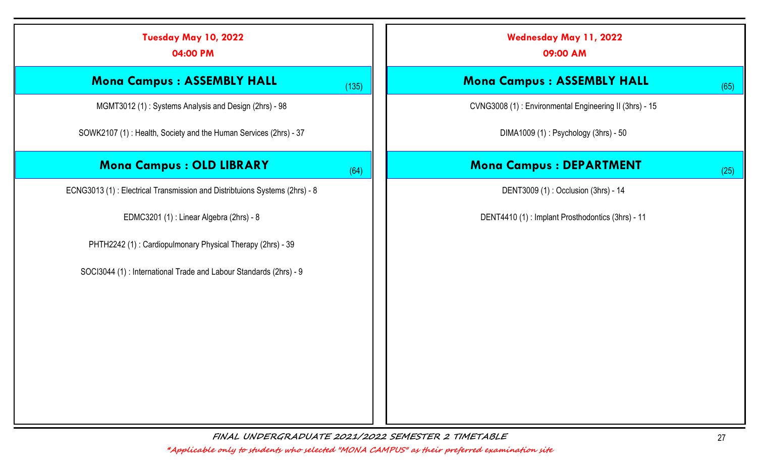| Tuesday May 10, 2022<br>04:00 PM                                           |       | <b>Wednesday May 11, 2022</b><br>09:00 AM              |
|----------------------------------------------------------------------------|-------|--------------------------------------------------------|
| <b>Mona Campus: ASSEMBLY HALL</b>                                          | (135) | <b>Mona Campus: ASSEMBLY HALL</b><br>(65)              |
| MGMT3012 (1): Systems Analysis and Design (2hrs) - 98                      |       | CVNG3008 (1): Environmental Engineering II (3hrs) - 15 |
| SOWK2107 (1): Health, Society and the Human Services (2hrs) - 37           |       | DIMA1009 (1): Psychology (3hrs) - 50                   |
| <b>Mona Campus : OLD LIBRARY</b>                                           | (64)  | <b>Mona Campus : DEPARTMENT</b><br>(25)                |
| ECNG3013 (1): Electrical Transmission and Distribtuions Systems (2hrs) - 8 |       | DENT3009 (1): Occlusion (3hrs) - 14                    |
| EDMC3201 (1): Linear Algebra (2hrs) - 8                                    |       | DENT4410 (1): Implant Prosthodontics (3hrs) - 11       |
| PHTH2242 (1): Cardiopulmonary Physical Therapy (2hrs) - 39                 |       |                                                        |
| SOCI3044 (1): International Trade and Labour Standards (2hrs) - 9          |       |                                                        |
|                                                                            |       |                                                        |
|                                                                            |       |                                                        |
|                                                                            |       |                                                        |
|                                                                            |       |                                                        |
|                                                                            |       |                                                        |
|                                                                            |       |                                                        |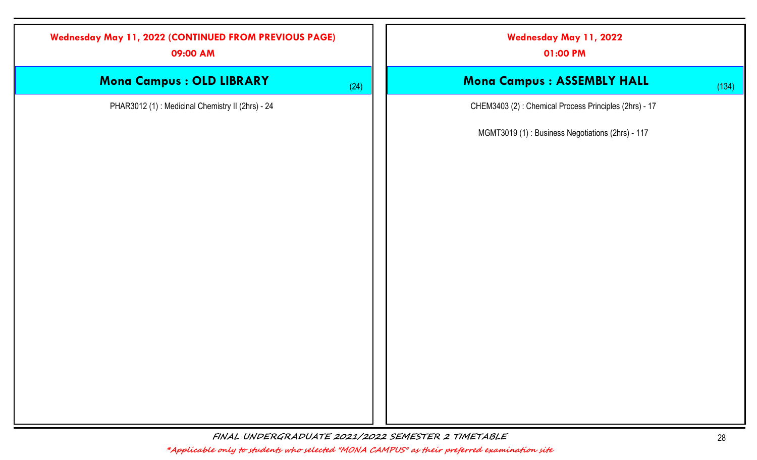| <b>Wednesday May 11, 2022 (CONTINUED FROM PREVIOUS PAGE)</b><br>09:00 AM |      | Wednesday May 11, 2022<br>01:00 PM                    |       |
|--------------------------------------------------------------------------|------|-------------------------------------------------------|-------|
| Mona Campus : OLD LIBRARY                                                | (24) | Mona Campus : ASSEMBLY HALL                           | (134) |
| PHAR3012 (1): Medicinal Chemistry II (2hrs) - 24                         |      | CHEM3403 (2): Chemical Process Principles (2hrs) - 17 |       |
|                                                                          |      | MGMT3019 (1): Business Negotiations (2hrs) - 117      |       |
|                                                                          |      |                                                       |       |
|                                                                          |      |                                                       |       |
|                                                                          |      |                                                       |       |
|                                                                          |      |                                                       |       |
|                                                                          |      |                                                       |       |
|                                                                          |      |                                                       |       |
|                                                                          |      |                                                       |       |
|                                                                          |      |                                                       |       |
|                                                                          |      |                                                       |       |
|                                                                          |      |                                                       |       |
|                                                                          |      |                                                       |       |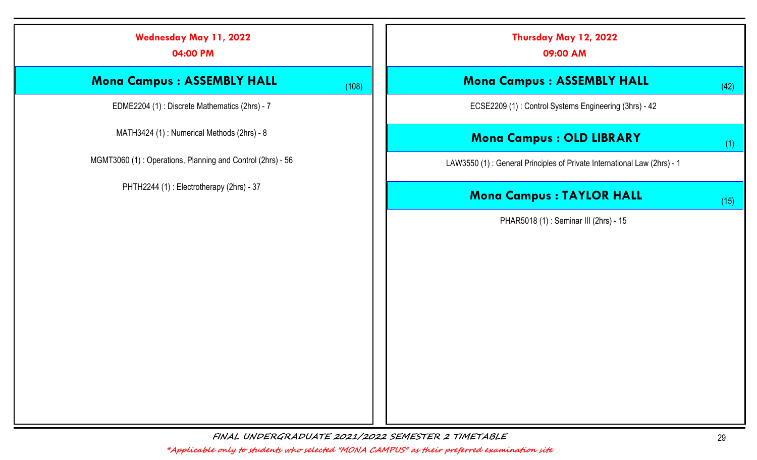| <b>Wednesday May 11, 2022</b><br>04:00 PM                  |       | Thursday May 12, 2022<br>09:00 AM                                       |      |
|------------------------------------------------------------|-------|-------------------------------------------------------------------------|------|
| <b>Mona Campus : ASSEMBLY HALL</b>                         | (108) | <b>Mona Campus : ASSEMBLY HALL</b>                                      | (42) |
| EDME2204 (1) : Discrete Mathematics (2hrs) - 7             |       | ECSE2209 (1): Control Systems Engineering (3hrs) - 42                   |      |
| MATH3424 (1): Numerical Methods (2hrs) - 8                 |       | <b>Mona Campus : OLD LIBRARY</b>                                        | (1)  |
| MGMT3060 (1): Operations, Planning and Control (2hrs) - 56 |       | LAW3550 (1): General Principles of Private International Law (2hrs) - 1 |      |
| PHTH2244 (1): Electrotherapy (2hrs) - 37                   |       | <b>Mona Campus : TAYLOR HALL</b>                                        | (15) |
|                                                            |       | PHAR5018 (1): Seminar III (2hrs) - 15                                   |      |
|                                                            |       |                                                                         |      |
|                                                            |       |                                                                         |      |
|                                                            |       |                                                                         |      |
|                                                            |       |                                                                         |      |
|                                                            |       |                                                                         |      |
|                                                            |       |                                                                         |      |
|                                                            |       |                                                                         |      |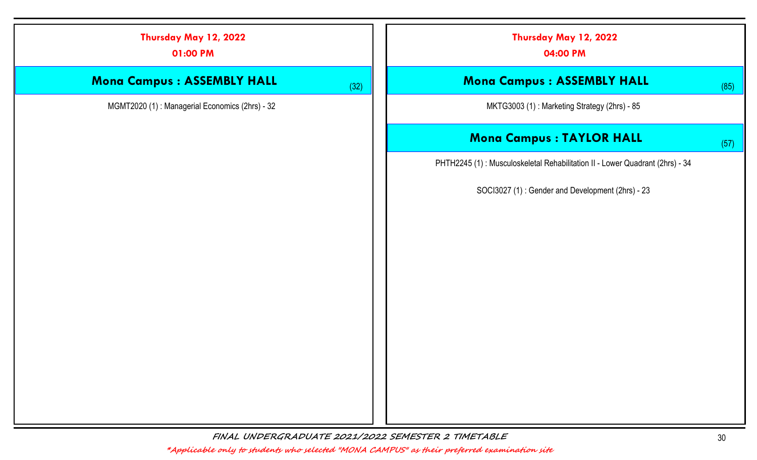| Thursday May 12, 2022<br>01:00 PM              | Thursday May 12, 2022<br>04:00 PM                                            |      |
|------------------------------------------------|------------------------------------------------------------------------------|------|
| Mona Campus : ASSEMBLY HALL                    | Mona Campus : ASSEMBLY HALL<br>(32)                                          | (85) |
| MGMT2020 (1): Managerial Economics (2hrs) - 32 | MKTG3003 (1): Marketing Strategy (2hrs) - 85                                 |      |
|                                                | <b>Mona Campus : TAYLOR HALL</b>                                             | (57) |
|                                                | PHTH2245 (1): Musculoskeletal Rehabilitation II - Lower Quadrant (2hrs) - 34 |      |
|                                                | SOCI3027 (1): Gender and Development (2hrs) - 23                             |      |
|                                                |                                                                              |      |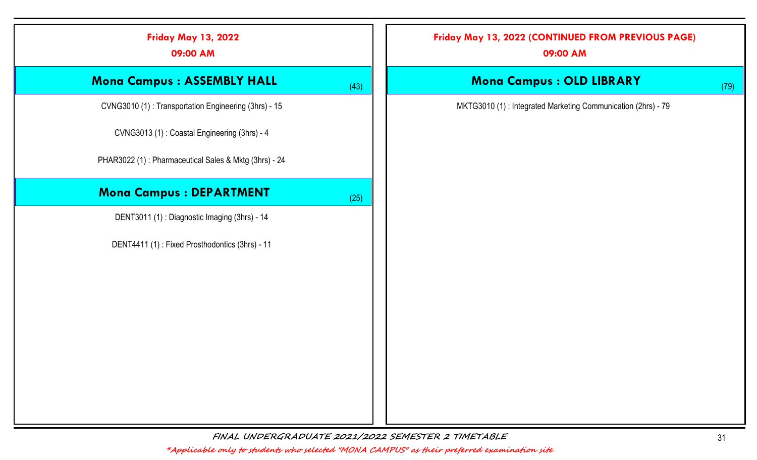